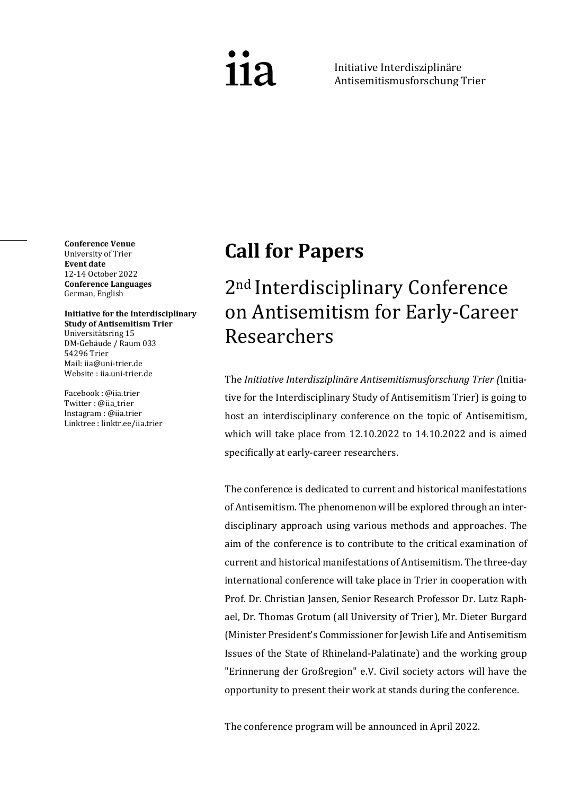

Initiative Interdisziplinäre Antisemitismusforschung Trier

**Conference Venue** University of Trier **Event date** 12-14 October 2022 **Conference Languages** German, English

**Initiative for the Interdisciplinary Study of Antisemitism Trier**  Universitätsring 15 DM-Gebäude / Raum 033 54296 Trier Mail[: iia@uni-trier.de](mailto:iia@uni-trier.de) Website [: iia.uni-trier.de](https://www.uni-trier.de/index.php?id=75206)

Facebook [: @iia.trier](https://www.facebook.com/iia.trier) Twitter [: @iia\\_trier](https://twitter.com/iia_trier) Instagram [: @iia.trier](https://www.instagram.com/iia.trier/) Linktree [: linktr.ee/iia.trier](https://linktr.ee/iia.trier)

### **Call for Papers**

## 2nd Interdisciplinary Conference on Antisemitism for Early-Career Researchers

The *Initiative Interdisziplinäre Antisemitismusforschung Trier (*Initiative for the Interdisciplinary Study of Antisemitism Trier) is going to host an interdisciplinary conference on the topic of Antisemitism, which will take place from 12.10.2022 to 14.10.2022 and is aimed specifically at early-career researchers.

The conference is dedicated to current and historical manifestations of Antisemitism. The phenomenon will be explored through an interdisciplinary approach using various methods and approaches. The aim of the conference is to contribute to the critical examination of current and historical manifestations of Antisemitism. The three-day international conference will take place in Trier in cooperation with Prof. Dr. Christian Jansen, Senior Research Professor Dr. Lutz Raphael, Dr. Thomas Grotum (all University of Trier), Mr. Dieter Burgard (Minister President's Commissioner for Jewish Life and Antisemitism Issues of the State of Rhineland-Palatinate) and the working group "Erinnerung der Großregion" e.V. Civil society actors will have the opportunity to present their work at stands during the conference.

The conference program will be announced in April 2022.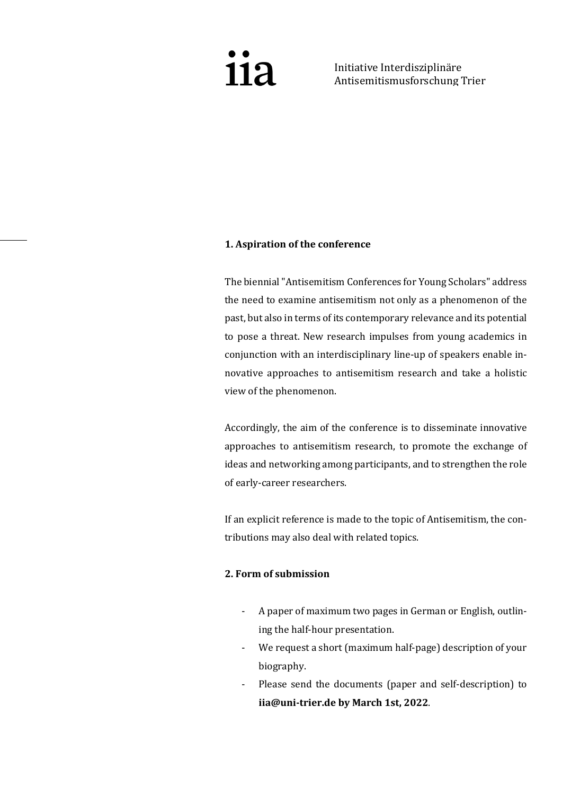# **112**

Initiative Interdisziplinäre Antisemitismusforschung Trier

#### **1. Aspiration of the conference**

The biennial "Antisemitism Conferences for Young Scholars" address the need to examine antisemitism not only as a phenomenon of the past, but also in terms of its contemporary relevance and its potential to pose a threat. New research impulses from young academics in conjunction with an interdisciplinary line-up of speakers enable innovative approaches to antisemitism research and take a holistic view of the phenomenon.

Accordingly, the aim of the conference is to disseminate innovative approaches to antisemitism research, to promote the exchange of ideas and networking among participants, and to strengthen the role of early-career researchers.

If an explicit reference is made to the topic of Antisemitism, the contributions may also deal with related topics.

#### **2. Form of submission**

- A paper of maximum two pages in German or English, outlining the half-hour presentation.
- We request a short (maximum half-page) description of your biography.
- Please send the documents (paper and self-description) to **iia@uni-trier.de by March 1st, 2022**.